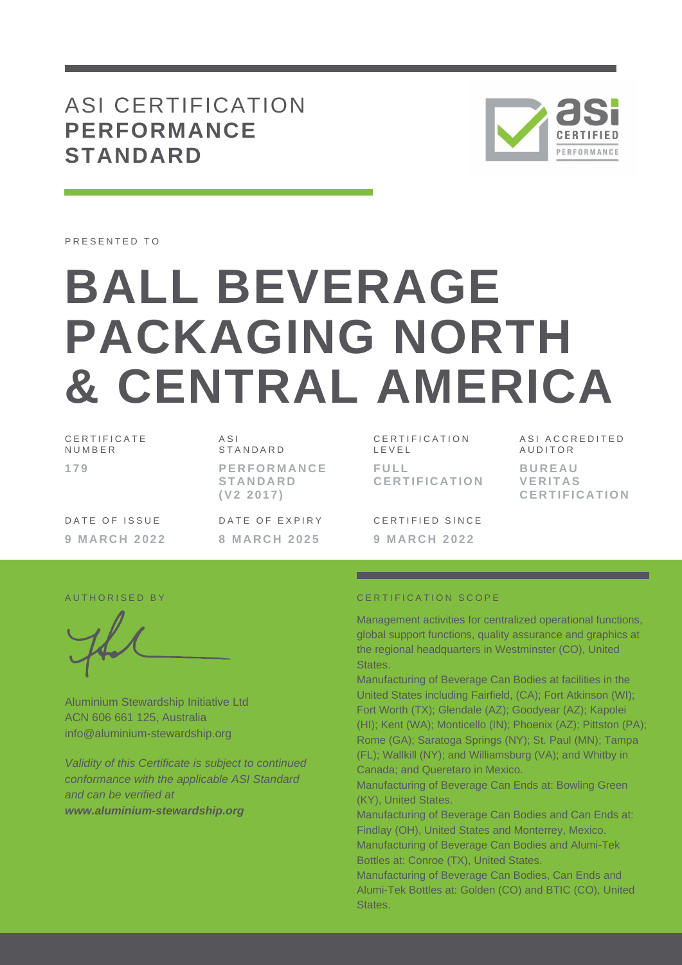# ASI CERTIFICATION **PERFORMANCE STANDARD**



PRESENTED TO

# **BALL BEVERAGE PACKAGING NORTH & CENTRAL AMERICA**

| CERTIFICATE<br>NUMBER | ASI<br>STANDARD                                    |
|-----------------------|----------------------------------------------------|
| 179                   | <b>PERFORMANCE</b><br><b>STANDARD</b><br>(V2 2017) |
| DATE OF ISSUE         | DATE OF EXPIRY                                     |
| <b>9 MARCH 2022</b>   | 8 MARCH 2025                                       |

C E R T I F I C A T I O N L E V E L **F U L L C E R T I F I C A T I O N**

CERTIFIED SINCE

ASI ACCREDITED **AUDITOR B U R E A U V E R I T A S C E R T I F I C A T I O N**

Aluminium Stewardship Initiative Ltd ACN 606 661 125, Australia info@aluminium-stewardship.org

*Validity of this Certificate is subject to continued conformance with the applicable ASI Standard and can be verified at www.aluminium-stewardship.org*

#### A U T HORISED BY CERTIFICATION SCOPE

**9 M A R C H 2 0 2 2**

Management activities for centralized operational functions, global support functions, quality assurance and graphics at the regional headquarters in Westminster (CO), United States.

Manufacturing of Beverage Can Bodies at facilities in the United States including Fairfield, (CA); Fort Atkinson (WI); Fort Worth (TX); Glendale (AZ); Goodyear (AZ); Kapolei (HI); Kent (WA); Monticello (IN); Phoenix (AZ); Pittston (PA); Rome (GA); Saratoga Springs (NY); St. Paul (MN); Tampa (FL); Wallkill (NY); and Williamsburg (VA); and Whitby in Canada; and Queretaro in Mexico.

Manufacturing of Beverage Can Ends at: Bowling Green (KY), United States.

Manufacturing of Beverage Can Bodies and Can Ends at: Findlay (OH), United States and Monterrey, Mexico. Manufacturing of Beverage Can Bodies and Alumi-Tek Bottles at: Conroe (TX), United States.

Manufacturing of Beverage Can Bodies, Can Ends and Alumi-Tek Bottles at: Golden (CO) and BTIC (CO), United States.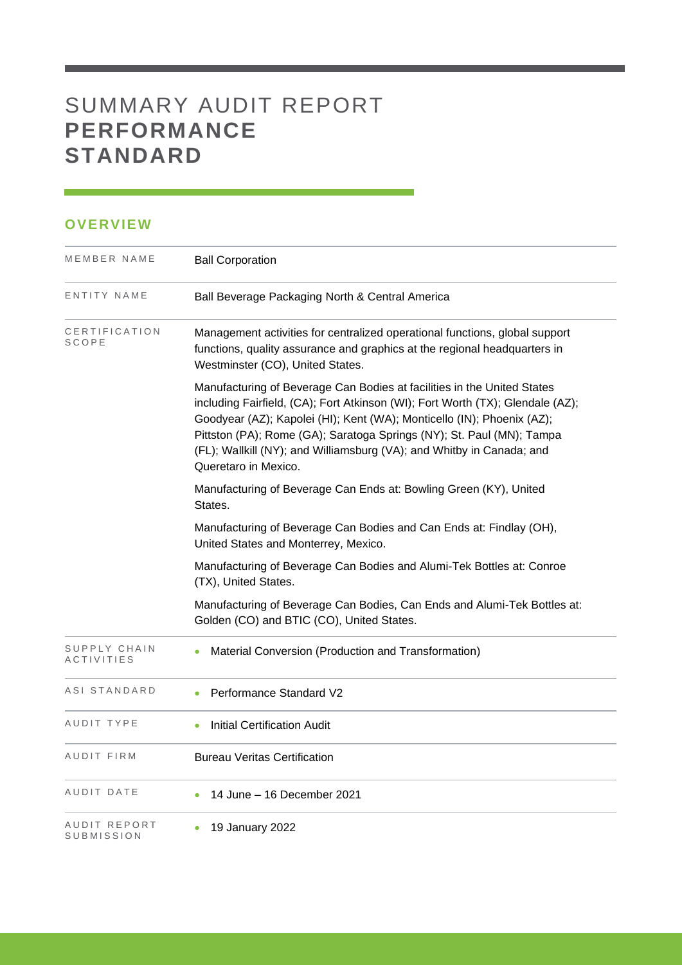# SUMMARY AUDIT REPORT **PERFORMANCE STANDARD**

## **OVERVIEW**

| MEMBER NAME                       | <b>Ball Corporation</b>                                                                                                                                                                                                                                                                                                                                                                                       |
|-----------------------------------|---------------------------------------------------------------------------------------------------------------------------------------------------------------------------------------------------------------------------------------------------------------------------------------------------------------------------------------------------------------------------------------------------------------|
| ENTITY NAME                       | Ball Beverage Packaging North & Central America                                                                                                                                                                                                                                                                                                                                                               |
| CERTIFICATION<br>SCOPE            | Management activities for centralized operational functions, global support<br>functions, quality assurance and graphics at the regional headquarters in<br>Westminster (CO), United States.                                                                                                                                                                                                                  |
|                                   | Manufacturing of Beverage Can Bodies at facilities in the United States<br>including Fairfield, (CA); Fort Atkinson (WI); Fort Worth (TX); Glendale (AZ);<br>Goodyear (AZ); Kapolei (HI); Kent (WA); Monticello (IN); Phoenix (AZ);<br>Pittston (PA); Rome (GA); Saratoga Springs (NY); St. Paul (MN); Tampa<br>(FL); Wallkill (NY); and Williamsburg (VA); and Whitby in Canada; and<br>Queretaro in Mexico. |
|                                   | Manufacturing of Beverage Can Ends at: Bowling Green (KY), United<br>States.                                                                                                                                                                                                                                                                                                                                  |
|                                   | Manufacturing of Beverage Can Bodies and Can Ends at: Findlay (OH),<br>United States and Monterrey, Mexico.                                                                                                                                                                                                                                                                                                   |
|                                   | Manufacturing of Beverage Can Bodies and Alumi-Tek Bottles at: Conroe<br>(TX), United States.                                                                                                                                                                                                                                                                                                                 |
|                                   | Manufacturing of Beverage Can Bodies, Can Ends and Alumi-Tek Bottles at:<br>Golden (CO) and BTIC (CO), United States.                                                                                                                                                                                                                                                                                         |
| SUPPLY CHAIN<br><b>ACTIVITIES</b> | Material Conversion (Production and Transformation)                                                                                                                                                                                                                                                                                                                                                           |
| ASI STANDARD                      | Performance Standard V2                                                                                                                                                                                                                                                                                                                                                                                       |
| AUDIT TYPE                        | <b>Initial Certification Audit</b>                                                                                                                                                                                                                                                                                                                                                                            |
| AUDIT FIRM                        | <b>Bureau Veritas Certification</b>                                                                                                                                                                                                                                                                                                                                                                           |
| AUDIT DATE                        | 14 June - 16 December 2021                                                                                                                                                                                                                                                                                                                                                                                    |
| AUDIT REPORT<br><b>SUBMISSION</b> | 19 January 2022                                                                                                                                                                                                                                                                                                                                                                                               |

and the control of the control of the control of the control of the control of the control of the control of the control of the control of the control of the control of the control of the control of the control of the cont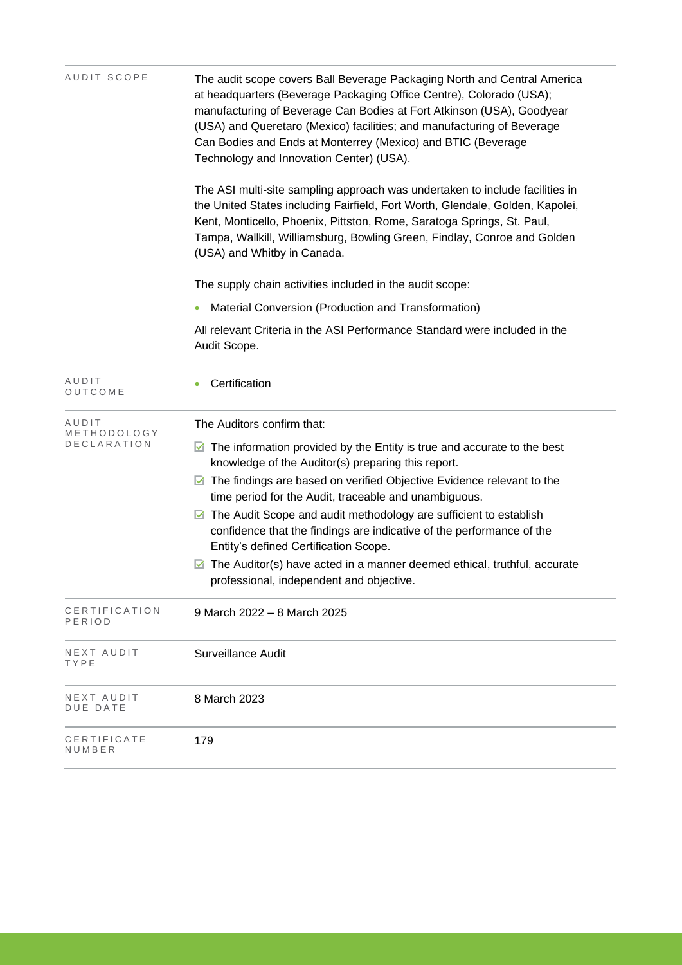| AUDIT SCOPE                         | The audit scope covers Ball Beverage Packaging North and Central America<br>at headquarters (Beverage Packaging Office Centre), Colorado (USA);<br>manufacturing of Beverage Can Bodies at Fort Atkinson (USA), Goodyear<br>(USA) and Queretaro (Mexico) facilities; and manufacturing of Beverage<br>Can Bodies and Ends at Monterrey (Mexico) and BTIC (Beverage<br>Technology and Innovation Center) (USA). |  |  |  |  |
|-------------------------------------|----------------------------------------------------------------------------------------------------------------------------------------------------------------------------------------------------------------------------------------------------------------------------------------------------------------------------------------------------------------------------------------------------------------|--|--|--|--|
|                                     | The ASI multi-site sampling approach was undertaken to include facilities in<br>the United States including Fairfield, Fort Worth, Glendale, Golden, Kapolei,<br>Kent, Monticello, Phoenix, Pittston, Rome, Saratoga Springs, St. Paul,<br>Tampa, Wallkill, Williamsburg, Bowling Green, Findlay, Conroe and Golden<br>(USA) and Whitby in Canada.                                                             |  |  |  |  |
|                                     | The supply chain activities included in the audit scope:                                                                                                                                                                                                                                                                                                                                                       |  |  |  |  |
|                                     | Material Conversion (Production and Transformation)                                                                                                                                                                                                                                                                                                                                                            |  |  |  |  |
|                                     | All relevant Criteria in the ASI Performance Standard were included in the<br>Audit Scope.                                                                                                                                                                                                                                                                                                                     |  |  |  |  |
| AUDIT<br>OUTCOME                    | Certification                                                                                                                                                                                                                                                                                                                                                                                                  |  |  |  |  |
| AUDIT<br>METHODOLOGY<br>DECLARATION | The Auditors confirm that:                                                                                                                                                                                                                                                                                                                                                                                     |  |  |  |  |
|                                     | $\triangleright$ The information provided by the Entity is true and accurate to the best<br>knowledge of the Auditor(s) preparing this report.                                                                                                                                                                                                                                                                 |  |  |  |  |
|                                     | The findings are based on verified Objective Evidence relevant to the<br>⊻<br>time period for the Audit, traceable and unambiguous.                                                                                                                                                                                                                                                                            |  |  |  |  |
|                                     | The Audit Scope and audit methodology are sufficient to establish<br>M<br>confidence that the findings are indicative of the performance of the<br>Entity's defined Certification Scope.                                                                                                                                                                                                                       |  |  |  |  |
|                                     | The Auditor(s) have acted in a manner deemed ethical, truthful, accurate<br>⊻<br>professional, independent and objective.                                                                                                                                                                                                                                                                                      |  |  |  |  |
| CERTIFICATION<br>PERIOD             | 9 March 2022 - 8 March 2025                                                                                                                                                                                                                                                                                                                                                                                    |  |  |  |  |
| NEXT AUDIT<br>TYPE                  | Surveillance Audit                                                                                                                                                                                                                                                                                                                                                                                             |  |  |  |  |
| NEXT AUDIT<br>DUE DATE              | 8 March 2023                                                                                                                                                                                                                                                                                                                                                                                                   |  |  |  |  |
| CERTIFICATE<br>NUMBER               | 179                                                                                                                                                                                                                                                                                                                                                                                                            |  |  |  |  |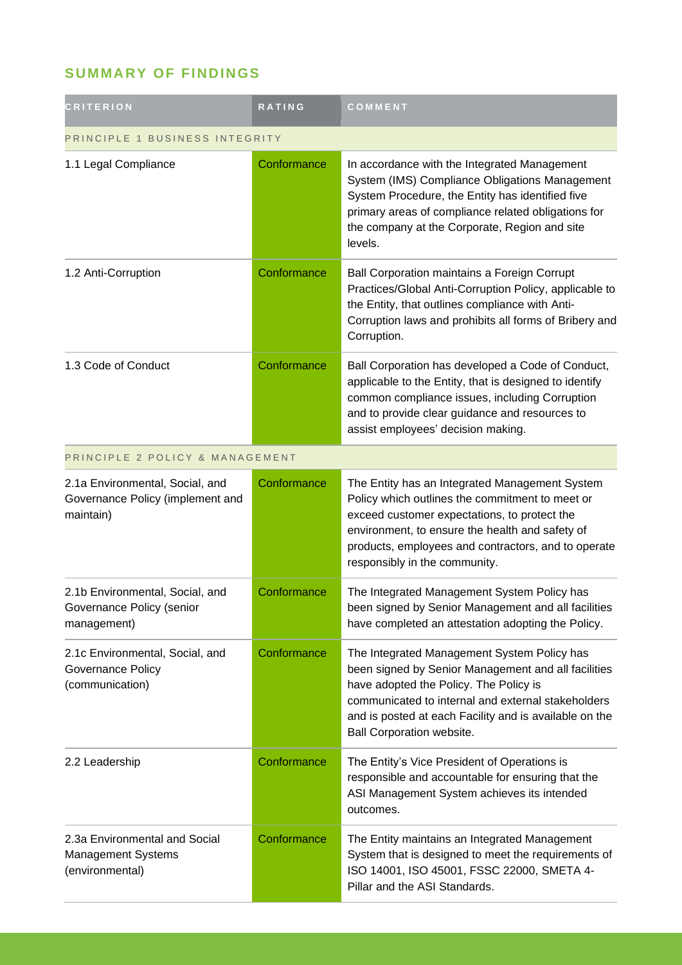# **SUMMARY OF FINDINGS**

| <b>CRITERION</b>                                                                 | RATING      | COMMENT                                                                                                                                                                                                                                                                                      |
|----------------------------------------------------------------------------------|-------------|----------------------------------------------------------------------------------------------------------------------------------------------------------------------------------------------------------------------------------------------------------------------------------------------|
| PRINCIPLE 1 BUSINESS INTEGRITY                                                   |             |                                                                                                                                                                                                                                                                                              |
| 1.1 Legal Compliance                                                             | Conformance | In accordance with the Integrated Management<br>System (IMS) Compliance Obligations Management<br>System Procedure, the Entity has identified five<br>primary areas of compliance related obligations for<br>the company at the Corporate, Region and site<br>levels.                        |
| 1.2 Anti-Corruption                                                              | Conformance | Ball Corporation maintains a Foreign Corrupt<br>Practices/Global Anti-Corruption Policy, applicable to<br>the Entity, that outlines compliance with Anti-<br>Corruption laws and prohibits all forms of Bribery and<br>Corruption.                                                           |
| 1.3 Code of Conduct                                                              | Conformance | Ball Corporation has developed a Code of Conduct,<br>applicable to the Entity, that is designed to identify<br>common compliance issues, including Corruption<br>and to provide clear guidance and resources to<br>assist employees' decision making.                                        |
| PRINCIPLE 2 POLICY & MANAGEMENT                                                  |             |                                                                                                                                                                                                                                                                                              |
| 2.1a Environmental, Social, and<br>Governance Policy (implement and<br>maintain) | Conformance | The Entity has an Integrated Management System<br>Policy which outlines the commitment to meet or<br>exceed customer expectations, to protect the<br>environment, to ensure the health and safety of<br>products, employees and contractors, and to operate<br>responsibly in the community. |
| 2.1b Environmental, Social, and<br>Governance Policy (senior<br>management)      | Conformance | The Integrated Management System Policy has<br>been signed by Senior Management and all facilities<br>have completed an attestation adopting the Policy.                                                                                                                                     |
| 2.1c Environmental, Social, and<br><b>Governance Policy</b><br>(communication)   | Conformance | The Integrated Management System Policy has<br>been signed by Senior Management and all facilities<br>have adopted the Policy. The Policy is<br>communicated to internal and external stakeholders<br>and is posted at each Facility and is available on the<br>Ball Corporation website.    |
| 2.2 Leadership                                                                   | Conformance | The Entity's Vice President of Operations is<br>responsible and accountable for ensuring that the<br>ASI Management System achieves its intended<br>outcomes.                                                                                                                                |
| 2.3a Environmental and Social<br>Management Systems<br>(environmental)           | Conformance | The Entity maintains an Integrated Management<br>System that is designed to meet the requirements of<br>ISO 14001, ISO 45001, FSSC 22000, SMETA 4-<br>Pillar and the ASI Standards.                                                                                                          |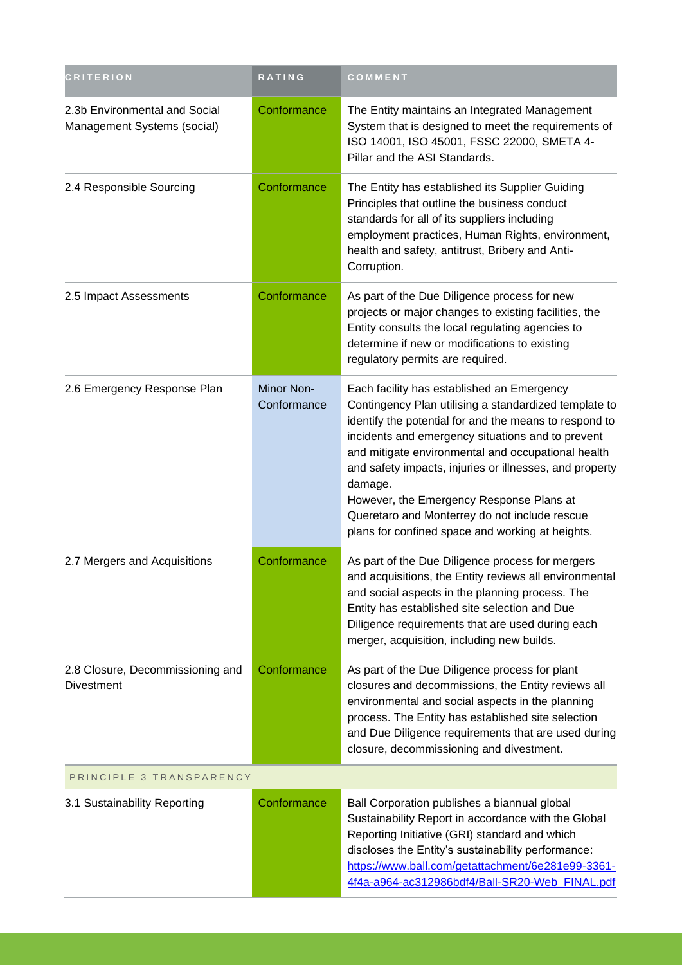| <b>CRITERION</b>                                             | RATING                    | COMMENT                                                                                                                                                                                                                                                                                                                                                                                                                                                                                         |  |
|--------------------------------------------------------------|---------------------------|-------------------------------------------------------------------------------------------------------------------------------------------------------------------------------------------------------------------------------------------------------------------------------------------------------------------------------------------------------------------------------------------------------------------------------------------------------------------------------------------------|--|
| 2.3b Environmental and Social<br>Management Systems (social) | Conformance               | The Entity maintains an Integrated Management<br>System that is designed to meet the requirements of<br>ISO 14001, ISO 45001, FSSC 22000, SMETA 4-<br>Pillar and the ASI Standards.                                                                                                                                                                                                                                                                                                             |  |
| 2.4 Responsible Sourcing                                     | Conformance               | The Entity has established its Supplier Guiding<br>Principles that outline the business conduct<br>standards for all of its suppliers including<br>employment practices, Human Rights, environment,<br>health and safety, antitrust, Bribery and Anti-<br>Corruption.                                                                                                                                                                                                                           |  |
| 2.5 Impact Assessments                                       | Conformance               | As part of the Due Diligence process for new<br>projects or major changes to existing facilities, the<br>Entity consults the local regulating agencies to<br>determine if new or modifications to existing<br>regulatory permits are required.                                                                                                                                                                                                                                                  |  |
| 2.6 Emergency Response Plan                                  | Minor Non-<br>Conformance | Each facility has established an Emergency<br>Contingency Plan utilising a standardized template to<br>identify the potential for and the means to respond to<br>incidents and emergency situations and to prevent<br>and mitigate environmental and occupational health<br>and safety impacts, injuries or illnesses, and property<br>damage.<br>However, the Emergency Response Plans at<br>Queretaro and Monterrey do not include rescue<br>plans for confined space and working at heights. |  |
| 2.7 Mergers and Acquisitions                                 | Conformance               | As part of the Due Diligence process for mergers<br>and acquisitions, the Entity reviews all environmental<br>and social aspects in the planning process. The<br>Entity has established site selection and Due<br>Diligence requirements that are used during each<br>merger, acquisition, including new builds.                                                                                                                                                                                |  |
| 2.8 Closure, Decommissioning and<br><b>Divestment</b>        | Conformance               | As part of the Due Diligence process for plant<br>closures and decommissions, the Entity reviews all<br>environmental and social aspects in the planning<br>process. The Entity has established site selection<br>and Due Diligence requirements that are used during<br>closure, decommissioning and divestment.                                                                                                                                                                               |  |
| PRINCIPLE 3 TRANSPARENCY                                     |                           |                                                                                                                                                                                                                                                                                                                                                                                                                                                                                                 |  |
| 3.1 Sustainability Reporting                                 | Conformance               | Ball Corporation publishes a biannual global<br>Sustainability Report in accordance with the Global<br>Reporting Initiative (GRI) standard and which<br>discloses the Entity's sustainability performance:<br>https://www.ball.com/getattachment/6e281e99-3361-<br>4f4a-a964-ac312986bdf4/Ball-SR20-Web_FINAL.pdf                                                                                                                                                                               |  |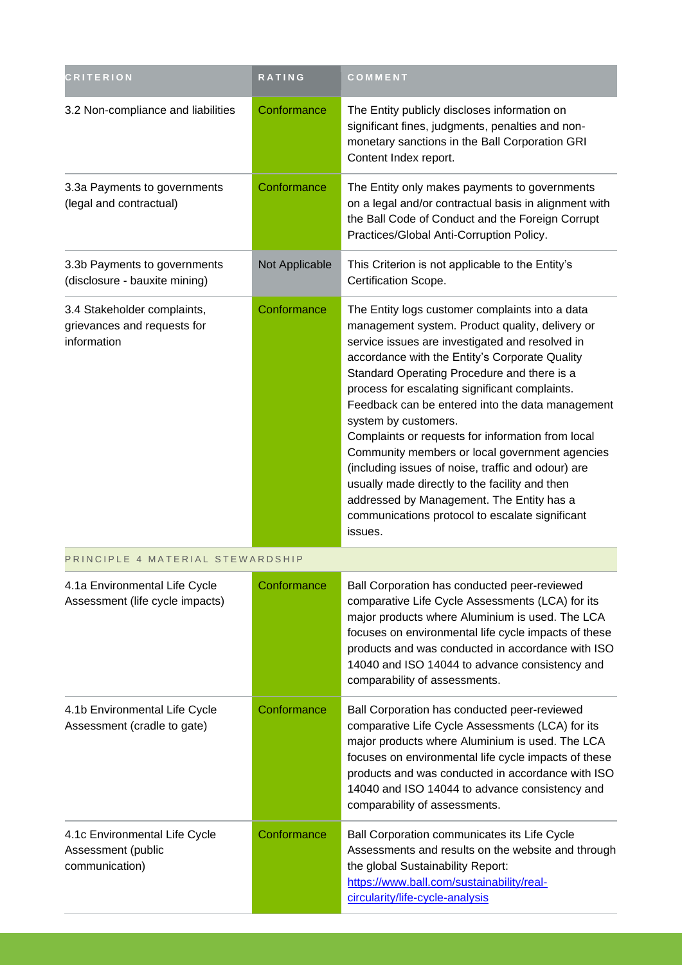| <b>CRITERION</b>                                                          | <b>RATING</b>  | COMMENT                                                                                                                                                                                                                                                                                                                                                                                                                                                                                                                                                                                                                                                                                                        |
|---------------------------------------------------------------------------|----------------|----------------------------------------------------------------------------------------------------------------------------------------------------------------------------------------------------------------------------------------------------------------------------------------------------------------------------------------------------------------------------------------------------------------------------------------------------------------------------------------------------------------------------------------------------------------------------------------------------------------------------------------------------------------------------------------------------------------|
| 3.2 Non-compliance and liabilities                                        | Conformance    | The Entity publicly discloses information on<br>significant fines, judgments, penalties and non-<br>monetary sanctions in the Ball Corporation GRI<br>Content Index report.                                                                                                                                                                                                                                                                                                                                                                                                                                                                                                                                    |
| 3.3a Payments to governments<br>(legal and contractual)                   | Conformance    | The Entity only makes payments to governments<br>on a legal and/or contractual basis in alignment with<br>the Ball Code of Conduct and the Foreign Corrupt<br>Practices/Global Anti-Corruption Policy.                                                                                                                                                                                                                                                                                                                                                                                                                                                                                                         |
| 3.3b Payments to governments<br>(disclosure - bauxite mining)             | Not Applicable | This Criterion is not applicable to the Entity's<br>Certification Scope.                                                                                                                                                                                                                                                                                                                                                                                                                                                                                                                                                                                                                                       |
| 3.4 Stakeholder complaints,<br>grievances and requests for<br>information | Conformance    | The Entity logs customer complaints into a data<br>management system. Product quality, delivery or<br>service issues are investigated and resolved in<br>accordance with the Entity's Corporate Quality<br>Standard Operating Procedure and there is a<br>process for escalating significant complaints.<br>Feedback can be entered into the data management<br>system by customers.<br>Complaints or requests for information from local<br>Community members or local government agencies<br>(including issues of noise, traffic and odour) are<br>usually made directly to the facility and then<br>addressed by Management. The Entity has a<br>communications protocol to escalate significant<br>issues. |
| PRINCIPLE 4 MATERIAL STEWARDSHIP                                          |                |                                                                                                                                                                                                                                                                                                                                                                                                                                                                                                                                                                                                                                                                                                                |
| 4.1a Environmental Life Cycle<br>Assessment (life cycle impacts)          | Conformance    | Ball Corporation has conducted peer-reviewed<br>comparative Life Cycle Assessments (LCA) for its<br>major products where Aluminium is used. The LCA<br>focuses on environmental life cycle impacts of these<br>products and was conducted in accordance with ISO<br>14040 and ISO 14044 to advance consistency and<br>comparability of assessments.                                                                                                                                                                                                                                                                                                                                                            |
| 4.1b Environmental Life Cycle<br>Assessment (cradle to gate)              | Conformance    | Ball Corporation has conducted peer-reviewed<br>comparative Life Cycle Assessments (LCA) for its<br>major products where Aluminium is used. The LCA<br>focuses on environmental life cycle impacts of these<br>products and was conducted in accordance with ISO<br>14040 and ISO 14044 to advance consistency and<br>comparability of assessments.                                                                                                                                                                                                                                                                                                                                                            |
| 4.1c Environmental Life Cycle<br>Assessment (public<br>communication)     | Conformance    | Ball Corporation communicates its Life Cycle<br>Assessments and results on the website and through<br>the global Sustainability Report:<br>https://www.ball.com/sustainability/real-<br>circularity/life-cycle-analysis                                                                                                                                                                                                                                                                                                                                                                                                                                                                                        |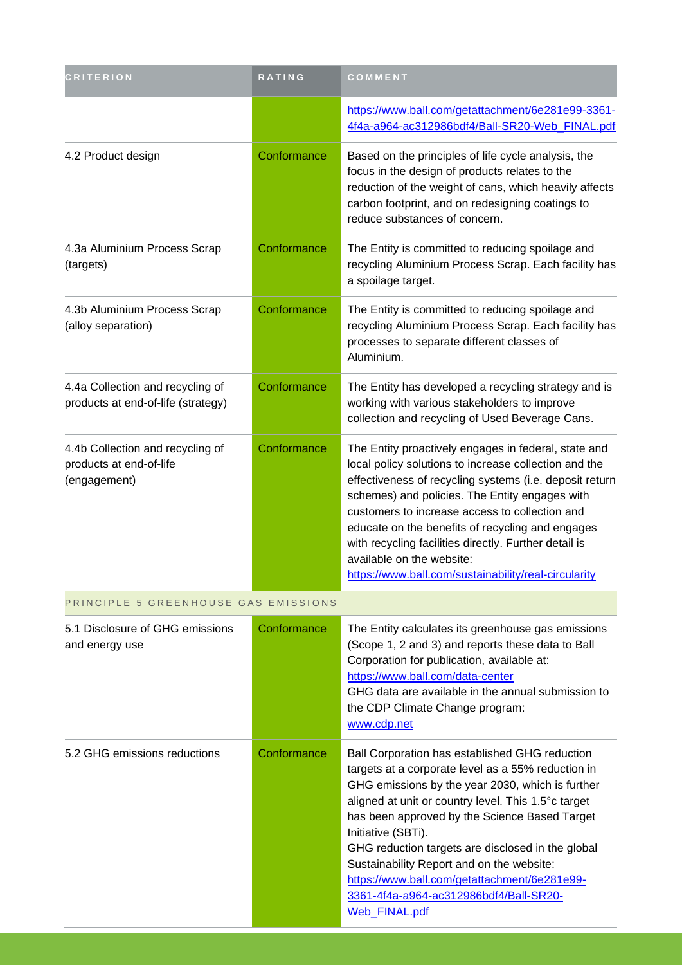| <b>CRITERION</b>                                                            | RATING      | COMMENT                                                                                                                                                                                                                                                                                                                                                                                                                                                                                             |
|-----------------------------------------------------------------------------|-------------|-----------------------------------------------------------------------------------------------------------------------------------------------------------------------------------------------------------------------------------------------------------------------------------------------------------------------------------------------------------------------------------------------------------------------------------------------------------------------------------------------------|
|                                                                             |             | https://www.ball.com/getattachment/6e281e99-3361-<br>4f4a-a964-ac312986bdf4/Ball-SR20-Web_FINAL.pdf                                                                                                                                                                                                                                                                                                                                                                                                 |
| 4.2 Product design                                                          | Conformance | Based on the principles of life cycle analysis, the<br>focus in the design of products relates to the<br>reduction of the weight of cans, which heavily affects<br>carbon footprint, and on redesigning coatings to<br>reduce substances of concern.                                                                                                                                                                                                                                                |
| 4.3a Aluminium Process Scrap<br>(targets)                                   | Conformance | The Entity is committed to reducing spoilage and<br>recycling Aluminium Process Scrap. Each facility has<br>a spoilage target.                                                                                                                                                                                                                                                                                                                                                                      |
| 4.3b Aluminium Process Scrap<br>(alloy separation)                          | Conformance | The Entity is committed to reducing spoilage and<br>recycling Aluminium Process Scrap. Each facility has<br>processes to separate different classes of<br>Aluminium.                                                                                                                                                                                                                                                                                                                                |
| 4.4a Collection and recycling of<br>products at end-of-life (strategy)      | Conformance | The Entity has developed a recycling strategy and is<br>working with various stakeholders to improve<br>collection and recycling of Used Beverage Cans.                                                                                                                                                                                                                                                                                                                                             |
| 4.4b Collection and recycling of<br>products at end-of-life<br>(engagement) | Conformance | The Entity proactively engages in federal, state and<br>local policy solutions to increase collection and the<br>effectiveness of recycling systems (i.e. deposit return<br>schemes) and policies. The Entity engages with<br>customers to increase access to collection and<br>educate on the benefits of recycling and engages<br>with recycling facilities directly. Further detail is<br>available on the website:<br>https://www.ball.com/sustainability/real-circularity                      |
| PRINCIPLE 5 GREENHOUSE GAS EMISSIONS                                        |             |                                                                                                                                                                                                                                                                                                                                                                                                                                                                                                     |
| 5.1 Disclosure of GHG emissions<br>and energy use                           | Conformance | The Entity calculates its greenhouse gas emissions<br>(Scope 1, 2 and 3) and reports these data to Ball<br>Corporation for publication, available at:<br>https://www.ball.com/data-center<br>GHG data are available in the annual submission to<br>the CDP Climate Change program:<br>www.cdp.net                                                                                                                                                                                                   |
| 5.2 GHG emissions reductions                                                | Conformance | Ball Corporation has established GHG reduction<br>targets at a corporate level as a 55% reduction in<br>GHG emissions by the year 2030, which is further<br>aligned at unit or country level. This 1.5°c target<br>has been approved by the Science Based Target<br>Initiative (SBTi).<br>GHG reduction targets are disclosed in the global<br>Sustainability Report and on the website:<br>https://www.ball.com/getattachment/6e281e99-<br>3361-4f4a-a964-ac312986bdf4/Ball-SR20-<br>Web_FINAL.pdf |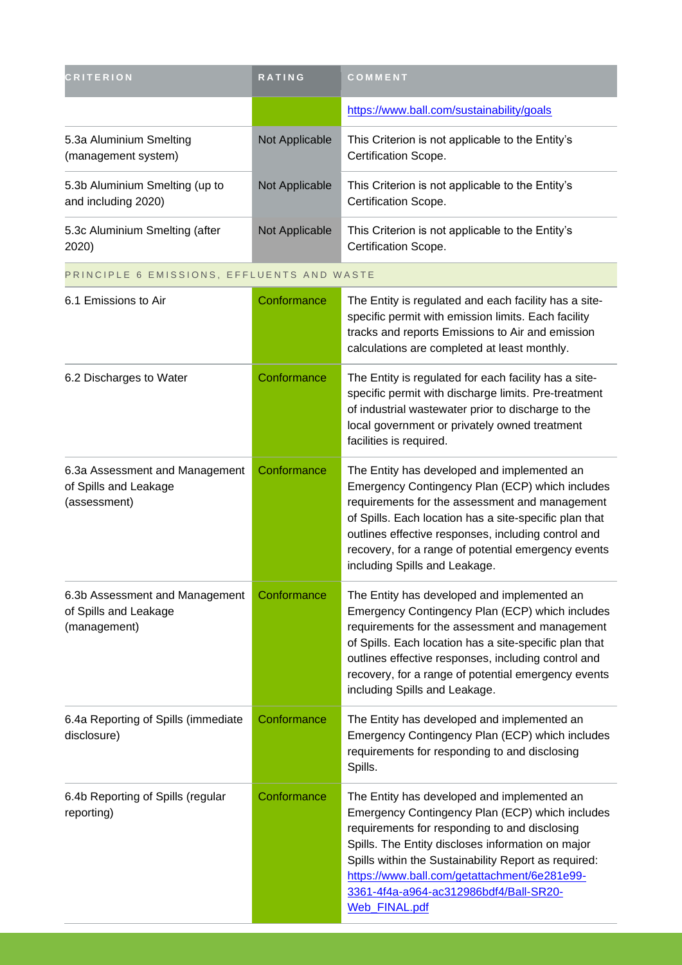| <b>CRITERION</b>                                                        | RATING         | COMMENT                                                                                                                                                                                                                                                                                                                                                                 |
|-------------------------------------------------------------------------|----------------|-------------------------------------------------------------------------------------------------------------------------------------------------------------------------------------------------------------------------------------------------------------------------------------------------------------------------------------------------------------------------|
|                                                                         |                | https://www.ball.com/sustainability/goals                                                                                                                                                                                                                                                                                                                               |
| 5.3a Aluminium Smelting<br>(management system)                          | Not Applicable | This Criterion is not applicable to the Entity's<br>Certification Scope.                                                                                                                                                                                                                                                                                                |
| 5.3b Aluminium Smelting (up to<br>and including 2020)                   | Not Applicable | This Criterion is not applicable to the Entity's<br>Certification Scope.                                                                                                                                                                                                                                                                                                |
| 5.3c Aluminium Smelting (after<br>2020)                                 | Not Applicable | This Criterion is not applicable to the Entity's<br>Certification Scope.                                                                                                                                                                                                                                                                                                |
| PRINCIPLE 6 EMISSIONS, EFFLUENTS AND WASTE                              |                |                                                                                                                                                                                                                                                                                                                                                                         |
| 6.1 Emissions to Air                                                    | Conformance    | The Entity is regulated and each facility has a site-<br>specific permit with emission limits. Each facility<br>tracks and reports Emissions to Air and emission<br>calculations are completed at least monthly.                                                                                                                                                        |
| 6.2 Discharges to Water                                                 | Conformance    | The Entity is regulated for each facility has a site-<br>specific permit with discharge limits. Pre-treatment<br>of industrial wastewater prior to discharge to the<br>local government or privately owned treatment<br>facilities is required.                                                                                                                         |
| 6.3a Assessment and Management<br>of Spills and Leakage<br>(assessment) | Conformance    | The Entity has developed and implemented an<br>Emergency Contingency Plan (ECP) which includes<br>requirements for the assessment and management<br>of Spills. Each location has a site-specific plan that<br>outlines effective responses, including control and<br>recovery, for a range of potential emergency events<br>including Spills and Leakage.               |
| 6.3b Assessment and Management<br>of Spills and Leakage<br>(management) | Conformance    | The Entity has developed and implemented an<br>Emergency Contingency Plan (ECP) which includes<br>requirements for the assessment and management<br>of Spills. Each location has a site-specific plan that<br>outlines effective responses, including control and<br>recovery, for a range of potential emergency events<br>including Spills and Leakage.               |
| 6.4a Reporting of Spills (immediate<br>disclosure)                      | Conformance    | The Entity has developed and implemented an<br>Emergency Contingency Plan (ECP) which includes<br>requirements for responding to and disclosing<br>Spills.                                                                                                                                                                                                              |
| 6.4b Reporting of Spills (regular<br>reporting)                         | Conformance    | The Entity has developed and implemented an<br>Emergency Contingency Plan (ECP) which includes<br>requirements for responding to and disclosing<br>Spills. The Entity discloses information on major<br>Spills within the Sustainability Report as required:<br>https://www.ball.com/getattachment/6e281e99-<br>3361-4f4a-a964-ac312986bdf4/Ball-SR20-<br>Web_FINAL.pdf |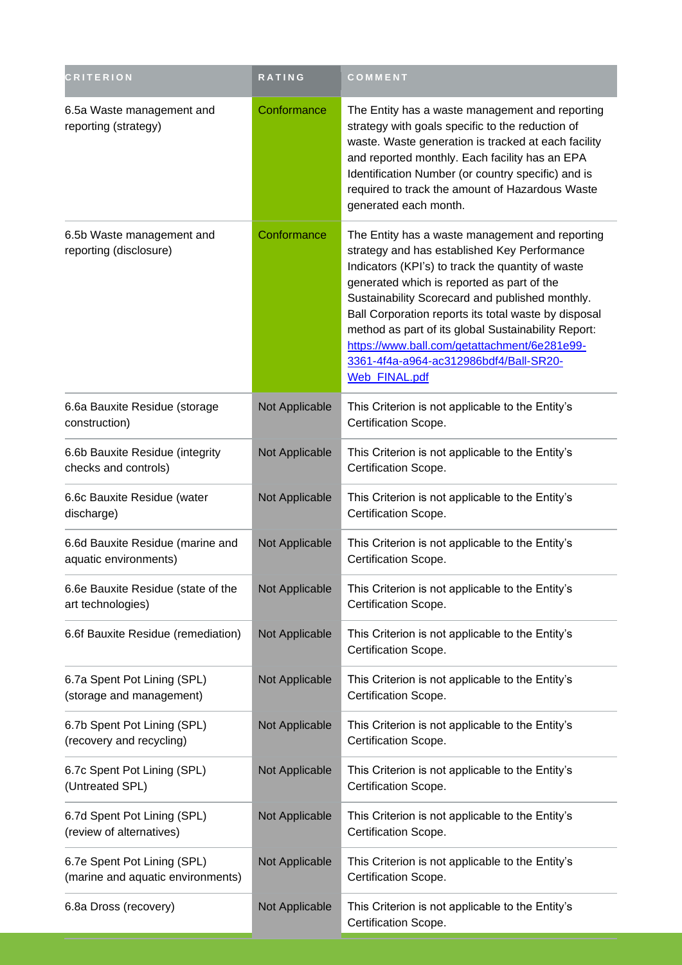| <b>CRITERION</b>                                                 | <b>RATING</b>  | COMMENT                                                                                                                                                                                                                                                                                                                                                                                                                                                                         |
|------------------------------------------------------------------|----------------|---------------------------------------------------------------------------------------------------------------------------------------------------------------------------------------------------------------------------------------------------------------------------------------------------------------------------------------------------------------------------------------------------------------------------------------------------------------------------------|
| 6.5a Waste management and<br>reporting (strategy)                | Conformance    | The Entity has a waste management and reporting<br>strategy with goals specific to the reduction of<br>waste. Waste generation is tracked at each facility<br>and reported monthly. Each facility has an EPA<br>Identification Number (or country specific) and is<br>required to track the amount of Hazardous Waste<br>generated each month.                                                                                                                                  |
| 6.5b Waste management and<br>reporting (disclosure)              | Conformance    | The Entity has a waste management and reporting<br>strategy and has established Key Performance<br>Indicators (KPI's) to track the quantity of waste<br>generated which is reported as part of the<br>Sustainability Scorecard and published monthly.<br>Ball Corporation reports its total waste by disposal<br>method as part of its global Sustainability Report:<br>https://www.ball.com/getattachment/6e281e99-<br>3361-4f4a-a964-ac312986bdf4/Ball-SR20-<br>Web_FINAL.pdf |
| 6.6a Bauxite Residue (storage<br>construction)                   | Not Applicable | This Criterion is not applicable to the Entity's<br>Certification Scope.                                                                                                                                                                                                                                                                                                                                                                                                        |
| 6.6b Bauxite Residue (integrity<br>checks and controls)          | Not Applicable | This Criterion is not applicable to the Entity's<br>Certification Scope.                                                                                                                                                                                                                                                                                                                                                                                                        |
| 6.6c Bauxite Residue (water<br>discharge)                        | Not Applicable | This Criterion is not applicable to the Entity's<br>Certification Scope.                                                                                                                                                                                                                                                                                                                                                                                                        |
| 6.6d Bauxite Residue (marine and<br>aquatic environments)        | Not Applicable | This Criterion is not applicable to the Entity's<br>Certification Scope.                                                                                                                                                                                                                                                                                                                                                                                                        |
| 6.6e Bauxite Residue (state of the<br>art technologies)          | Not Applicable | This Criterion is not applicable to the Entity's<br>Certification Scope.                                                                                                                                                                                                                                                                                                                                                                                                        |
| 6.6f Bauxite Residue (remediation)                               | Not Applicable | This Criterion is not applicable to the Entity's<br>Certification Scope.                                                                                                                                                                                                                                                                                                                                                                                                        |
| 6.7a Spent Pot Lining (SPL)<br>(storage and management)          | Not Applicable | This Criterion is not applicable to the Entity's<br>Certification Scope.                                                                                                                                                                                                                                                                                                                                                                                                        |
| 6.7b Spent Pot Lining (SPL)<br>(recovery and recycling)          | Not Applicable | This Criterion is not applicable to the Entity's<br>Certification Scope.                                                                                                                                                                                                                                                                                                                                                                                                        |
| 6.7c Spent Pot Lining (SPL)<br>(Untreated SPL)                   | Not Applicable | This Criterion is not applicable to the Entity's<br>Certification Scope.                                                                                                                                                                                                                                                                                                                                                                                                        |
| 6.7d Spent Pot Lining (SPL)<br>(review of alternatives)          | Not Applicable | This Criterion is not applicable to the Entity's<br>Certification Scope.                                                                                                                                                                                                                                                                                                                                                                                                        |
| 6.7e Spent Pot Lining (SPL)<br>(marine and aquatic environments) | Not Applicable | This Criterion is not applicable to the Entity's<br>Certification Scope.                                                                                                                                                                                                                                                                                                                                                                                                        |
| 6.8a Dross (recovery)                                            | Not Applicable | This Criterion is not applicable to the Entity's<br>Certification Scope.                                                                                                                                                                                                                                                                                                                                                                                                        |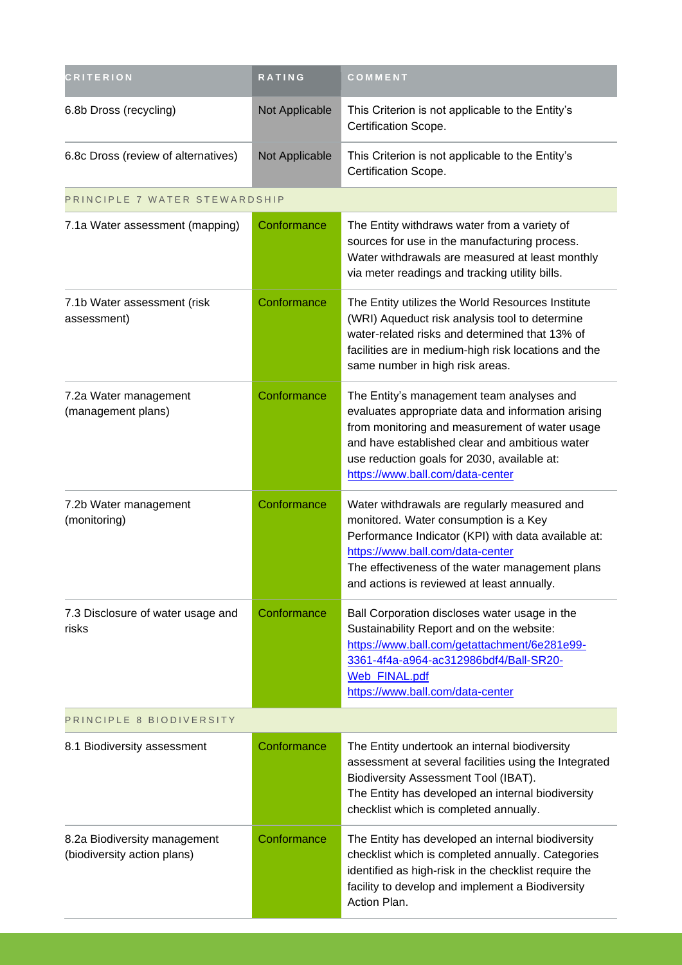| <b>CRITERION</b>                                            | <b>RATING</b>  | COMMENT                                                                                                                                                                                                                                                                                |
|-------------------------------------------------------------|----------------|----------------------------------------------------------------------------------------------------------------------------------------------------------------------------------------------------------------------------------------------------------------------------------------|
| 6.8b Dross (recycling)                                      | Not Applicable | This Criterion is not applicable to the Entity's<br>Certification Scope.                                                                                                                                                                                                               |
| 6.8c Dross (review of alternatives)                         | Not Applicable | This Criterion is not applicable to the Entity's<br>Certification Scope.                                                                                                                                                                                                               |
| PRINCIPLE 7 WATER STEWARDSHIP                               |                |                                                                                                                                                                                                                                                                                        |
| 7.1a Water assessment (mapping)                             | Conformance    | The Entity withdraws water from a variety of<br>sources for use in the manufacturing process.<br>Water withdrawals are measured at least monthly<br>via meter readings and tracking utility bills.                                                                                     |
| 7.1b Water assessment (risk<br>assessment)                  | Conformance    | The Entity utilizes the World Resources Institute<br>(WRI) Aqueduct risk analysis tool to determine<br>water-related risks and determined that 13% of<br>facilities are in medium-high risk locations and the<br>same number in high risk areas.                                       |
| 7.2a Water management<br>(management plans)                 | Conformance    | The Entity's management team analyses and<br>evaluates appropriate data and information arising<br>from monitoring and measurement of water usage<br>and have established clear and ambitious water<br>use reduction goals for 2030, available at:<br>https://www.ball.com/data-center |
| 7.2b Water management<br>(monitoring)                       | Conformance    | Water withdrawals are regularly measured and<br>monitored. Water consumption is a Key<br>Performance Indicator (KPI) with data available at:<br>https://www.ball.com/data-center<br>The effectiveness of the water management plans<br>and actions is reviewed at least annually.      |
| 7.3 Disclosure of water usage and<br>risks                  | Conformance    | Ball Corporation discloses water usage in the<br>Sustainability Report and on the website:<br>https://www.ball.com/getattachment/6e281e99-<br>3361-4f4a-a964-ac312986bdf4/Ball-SR20-<br>Web_FINAL.pdf<br>https://www.ball.com/data-center                                              |
| PRINCIPLE 8 BIODIVERSITY                                    |                |                                                                                                                                                                                                                                                                                        |
| 8.1 Biodiversity assessment                                 | Conformance    | The Entity undertook an internal biodiversity<br>assessment at several facilities using the Integrated<br>Biodiversity Assessment Tool (IBAT).<br>The Entity has developed an internal biodiversity<br>checklist which is completed annually.                                          |
| 8.2a Biodiversity management<br>(biodiversity action plans) | Conformance    | The Entity has developed an internal biodiversity<br>checklist which is completed annually. Categories<br>identified as high-risk in the checklist require the<br>facility to develop and implement a Biodiversity<br>Action Plan.                                                     |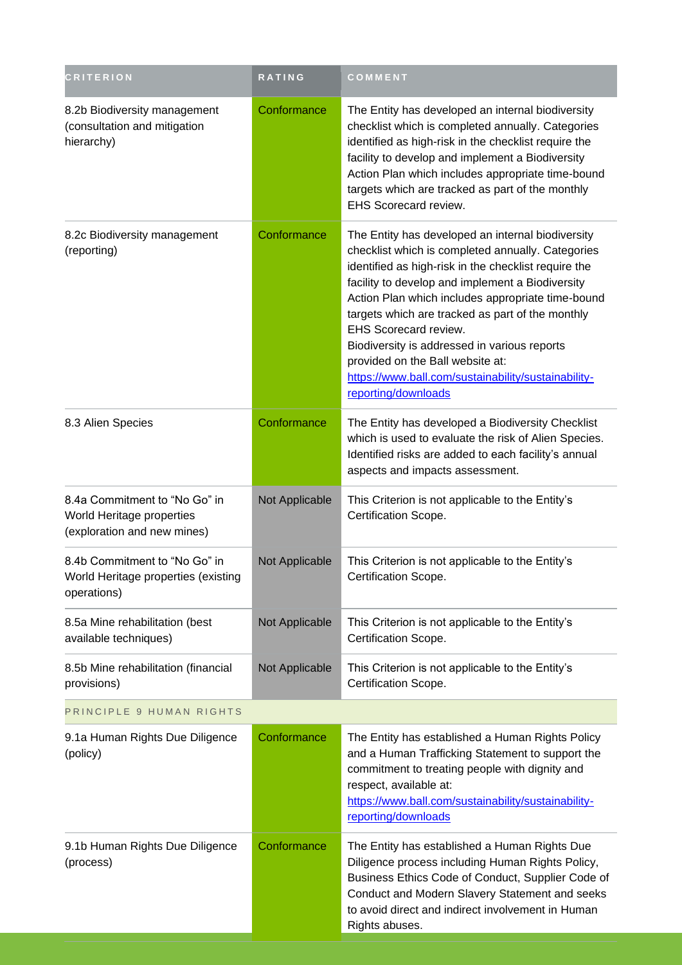| <b>CRITERION</b>                                                                          | RATING         | COMMENT                                                                                                                                                                                                                                                                                                                                                                                                                                                                                                                       |
|-------------------------------------------------------------------------------------------|----------------|-------------------------------------------------------------------------------------------------------------------------------------------------------------------------------------------------------------------------------------------------------------------------------------------------------------------------------------------------------------------------------------------------------------------------------------------------------------------------------------------------------------------------------|
| 8.2b Biodiversity management<br>(consultation and mitigation<br>hierarchy)                | Conformance    | The Entity has developed an internal biodiversity<br>checklist which is completed annually. Categories<br>identified as high-risk in the checklist require the<br>facility to develop and implement a Biodiversity<br>Action Plan which includes appropriate time-bound<br>targets which are tracked as part of the monthly<br>EHS Scorecard review.                                                                                                                                                                          |
| 8.2c Biodiversity management<br>(reporting)                                               | Conformance    | The Entity has developed an internal biodiversity<br>checklist which is completed annually. Categories<br>identified as high-risk in the checklist require the<br>facility to develop and implement a Biodiversity<br>Action Plan which includes appropriate time-bound<br>targets which are tracked as part of the monthly<br><b>EHS Scorecard review.</b><br>Biodiversity is addressed in various reports<br>provided on the Ball website at:<br>https://www.ball.com/sustainability/sustainability-<br>reporting/downloads |
| 8.3 Alien Species                                                                         | Conformance    | The Entity has developed a Biodiversity Checklist<br>which is used to evaluate the risk of Alien Species.<br>Identified risks are added to each facility's annual<br>aspects and impacts assessment.                                                                                                                                                                                                                                                                                                                          |
| 8.4a Commitment to "No Go" in<br>World Heritage properties<br>(exploration and new mines) | Not Applicable | This Criterion is not applicable to the Entity's<br>Certification Scope.                                                                                                                                                                                                                                                                                                                                                                                                                                                      |
| 8.4b Commitment to "No Go" in<br>World Heritage properties (existing<br>operations)       | Not Applicable | This Criterion is not applicable to the Entity's<br><b>Certification Scope</b>                                                                                                                                                                                                                                                                                                                                                                                                                                                |
| 8.5a Mine rehabilitation (best<br>available techniques)                                   | Not Applicable | This Criterion is not applicable to the Entity's<br>Certification Scope.                                                                                                                                                                                                                                                                                                                                                                                                                                                      |
| 8.5b Mine rehabilitation (financial<br>provisions)                                        | Not Applicable | This Criterion is not applicable to the Entity's<br>Certification Scope.                                                                                                                                                                                                                                                                                                                                                                                                                                                      |
| PRINCIPLE 9 HUMAN RIGHTS                                                                  |                |                                                                                                                                                                                                                                                                                                                                                                                                                                                                                                                               |
| 9.1a Human Rights Due Diligence<br>(policy)                                               | Conformance    | The Entity has established a Human Rights Policy<br>and a Human Trafficking Statement to support the<br>commitment to treating people with dignity and<br>respect, available at:<br>https://www.ball.com/sustainability/sustainability-<br>reporting/downloads                                                                                                                                                                                                                                                                |
| 9.1b Human Rights Due Diligence<br>(process)                                              | Conformance    | The Entity has established a Human Rights Due<br>Diligence process including Human Rights Policy,<br>Business Ethics Code of Conduct, Supplier Code of<br>Conduct and Modern Slavery Statement and seeks<br>to avoid direct and indirect involvement in Human<br>Rights abuses.                                                                                                                                                                                                                                               |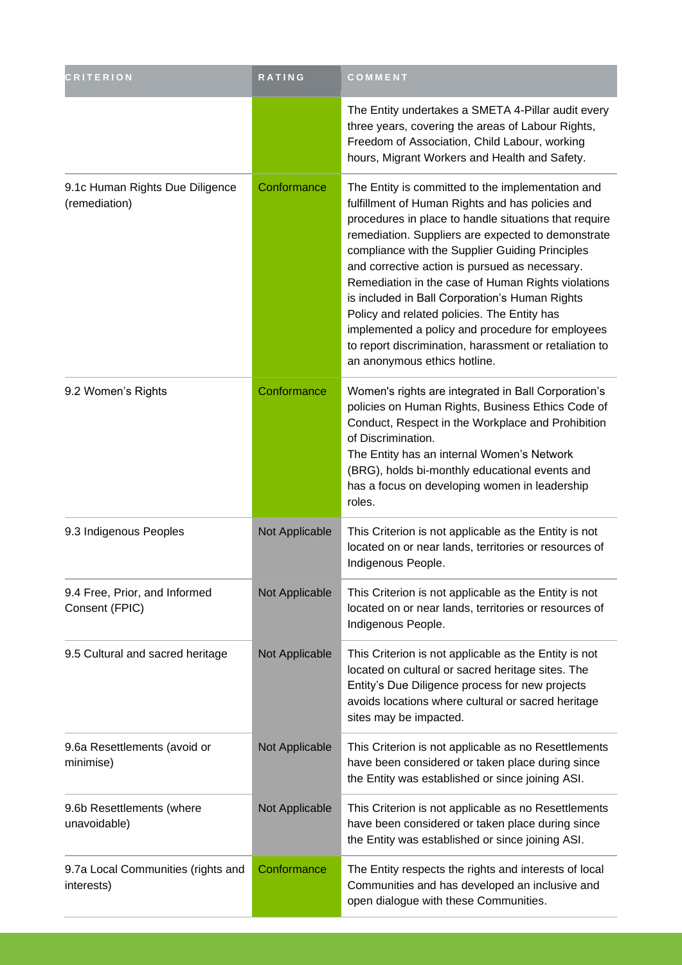| <b>CRITERION</b>                                 | <b>RATING</b>  | COMMENT                                                                                                                                                                                                                                                                                                                                                                                                                                                                                                                                                                                                                        |
|--------------------------------------------------|----------------|--------------------------------------------------------------------------------------------------------------------------------------------------------------------------------------------------------------------------------------------------------------------------------------------------------------------------------------------------------------------------------------------------------------------------------------------------------------------------------------------------------------------------------------------------------------------------------------------------------------------------------|
|                                                  |                | The Entity undertakes a SMETA 4-Pillar audit every<br>three years, covering the areas of Labour Rights,<br>Freedom of Association, Child Labour, working<br>hours, Migrant Workers and Health and Safety.                                                                                                                                                                                                                                                                                                                                                                                                                      |
| 9.1c Human Rights Due Diligence<br>(remediation) | Conformance    | The Entity is committed to the implementation and<br>fulfillment of Human Rights and has policies and<br>procedures in place to handle situations that require<br>remediation. Suppliers are expected to demonstrate<br>compliance with the Supplier Guiding Principles<br>and corrective action is pursued as necessary.<br>Remediation in the case of Human Rights violations<br>is included in Ball Corporation's Human Rights<br>Policy and related policies. The Entity has<br>implemented a policy and procedure for employees<br>to report discrimination, harassment or retaliation to<br>an anonymous ethics hotline. |
| 9.2 Women's Rights                               | Conformance    | Women's rights are integrated in Ball Corporation's<br>policies on Human Rights, Business Ethics Code of<br>Conduct, Respect in the Workplace and Prohibition<br>of Discrimination.<br>The Entity has an internal Women's Network<br>(BRG), holds bi-monthly educational events and<br>has a focus on developing women in leadership<br>roles.                                                                                                                                                                                                                                                                                 |
| 9.3 Indigenous Peoples                           | Not Applicable | This Criterion is not applicable as the Entity is not<br>located on or near lands, territories or resources of<br>Indigenous People.                                                                                                                                                                                                                                                                                                                                                                                                                                                                                           |
| 9.4 Free, Prior, and Informed<br>Consent (FPIC)  | Not Applicable | This Criterion is not applicable as the Entity is not<br>located on or near lands, territories or resources of<br>Indigenous People.                                                                                                                                                                                                                                                                                                                                                                                                                                                                                           |
| 9.5 Cultural and sacred heritage                 | Not Applicable | This Criterion is not applicable as the Entity is not<br>located on cultural or sacred heritage sites. The<br>Entity's Due Diligence process for new projects<br>avoids locations where cultural or sacred heritage<br>sites may be impacted.                                                                                                                                                                                                                                                                                                                                                                                  |
| 9.6a Resettlements (avoid or<br>minimise)        | Not Applicable | This Criterion is not applicable as no Resettlements<br>have been considered or taken place during since<br>the Entity was established or since joining ASI.                                                                                                                                                                                                                                                                                                                                                                                                                                                                   |
| 9.6b Resettlements (where<br>unavoidable)        | Not Applicable | This Criterion is not applicable as no Resettlements<br>have been considered or taken place during since<br>the Entity was established or since joining ASI.                                                                                                                                                                                                                                                                                                                                                                                                                                                                   |
| 9.7a Local Communities (rights and<br>interests) | Conformance    | The Entity respects the rights and interests of local<br>Communities and has developed an inclusive and<br>open dialogue with these Communities.                                                                                                                                                                                                                                                                                                                                                                                                                                                                               |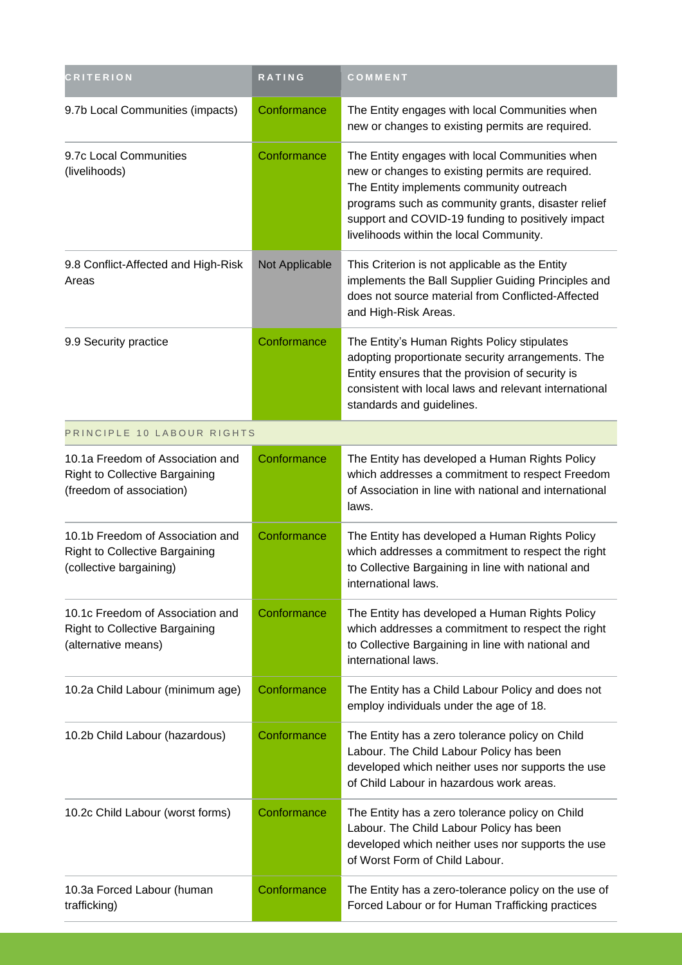| <b>CRITERION</b>                                                                                      | <b>RATING</b>  | COMMENT                                                                                                                                                                                                                                                                                              |
|-------------------------------------------------------------------------------------------------------|----------------|------------------------------------------------------------------------------------------------------------------------------------------------------------------------------------------------------------------------------------------------------------------------------------------------------|
| 9.7b Local Communities (impacts)                                                                      | Conformance    | The Entity engages with local Communities when<br>new or changes to existing permits are required.                                                                                                                                                                                                   |
| 9.7c Local Communities<br>(livelihoods)                                                               | Conformance    | The Entity engages with local Communities when<br>new or changes to existing permits are required.<br>The Entity implements community outreach<br>programs such as community grants, disaster relief<br>support and COVID-19 funding to positively impact<br>livelihoods within the local Community. |
| 9.8 Conflict-Affected and High-Risk<br>Areas                                                          | Not Applicable | This Criterion is not applicable as the Entity<br>implements the Ball Supplier Guiding Principles and<br>does not source material from Conflicted-Affected<br>and High-Risk Areas.                                                                                                                   |
| 9.9 Security practice                                                                                 | Conformance    | The Entity's Human Rights Policy stipulates<br>adopting proportionate security arrangements. The<br>Entity ensures that the provision of security is<br>consistent with local laws and relevant international<br>standards and guidelines.                                                           |
| PRINCIPLE 10 LABOUR RIGHTS                                                                            |                |                                                                                                                                                                                                                                                                                                      |
| 10.1a Freedom of Association and<br><b>Right to Collective Bargaining</b><br>(freedom of association) | Conformance    | The Entity has developed a Human Rights Policy<br>which addresses a commitment to respect Freedom<br>of Association in line with national and international<br>laws.                                                                                                                                 |
| 10.1b Freedom of Association and<br><b>Right to Collective Bargaining</b><br>(collective bargaining)  | Conformance    | The Entity has developed a Human Rights Policy<br>which addresses a commitment to respect the right<br>to Collective Bargaining in line with national and<br>international laws.                                                                                                                     |
| 10.1c Freedom of Association and<br><b>Right to Collective Bargaining</b><br>(alternative means)      | Conformance    | The Entity has developed a Human Rights Policy<br>which addresses a commitment to respect the right<br>to Collective Bargaining in line with national and<br>international laws.                                                                                                                     |
| 10.2a Child Labour (minimum age)                                                                      | Conformance    | The Entity has a Child Labour Policy and does not<br>employ individuals under the age of 18.                                                                                                                                                                                                         |
| 10.2b Child Labour (hazardous)                                                                        | Conformance    | The Entity has a zero tolerance policy on Child<br>Labour. The Child Labour Policy has been<br>developed which neither uses nor supports the use<br>of Child Labour in hazardous work areas.                                                                                                         |
| 10.2c Child Labour (worst forms)                                                                      | Conformance    | The Entity has a zero tolerance policy on Child<br>Labour. The Child Labour Policy has been<br>developed which neither uses nor supports the use<br>of Worst Form of Child Labour.                                                                                                                   |
| 10.3a Forced Labour (human<br>trafficking)                                                            | Conformance    | The Entity has a zero-tolerance policy on the use of<br>Forced Labour or for Human Trafficking practices                                                                                                                                                                                             |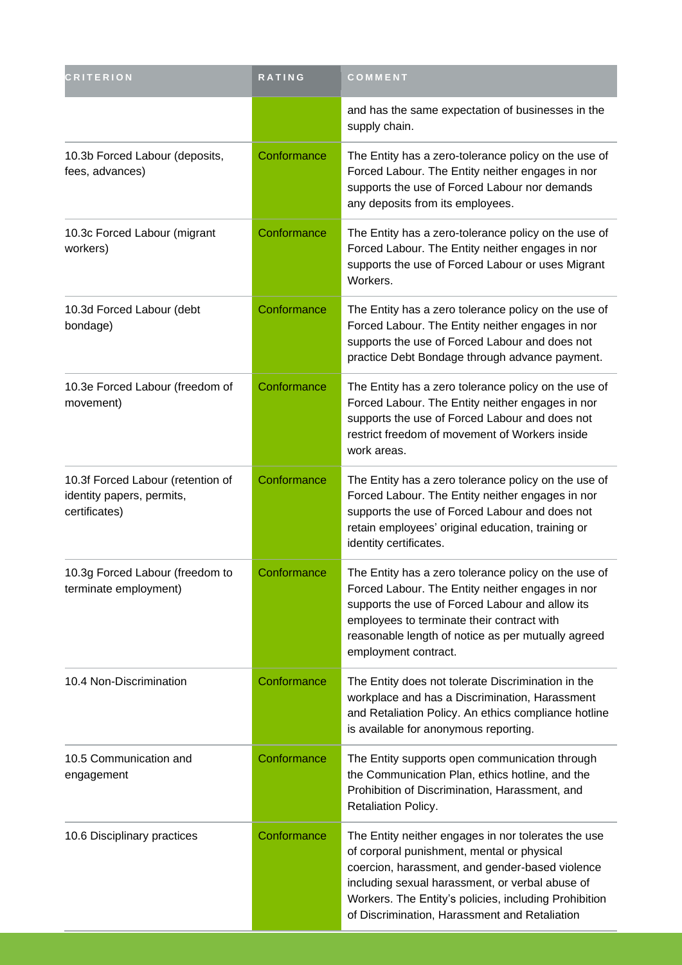| <b>CRITERION</b>                                                                | RATING      | COMMENT                                                                                                                                                                                                                                                                                                           |
|---------------------------------------------------------------------------------|-------------|-------------------------------------------------------------------------------------------------------------------------------------------------------------------------------------------------------------------------------------------------------------------------------------------------------------------|
|                                                                                 |             | and has the same expectation of businesses in the<br>supply chain.                                                                                                                                                                                                                                                |
| 10.3b Forced Labour (deposits,<br>fees, advances)                               | Conformance | The Entity has a zero-tolerance policy on the use of<br>Forced Labour. The Entity neither engages in nor<br>supports the use of Forced Labour nor demands<br>any deposits from its employees.                                                                                                                     |
| 10.3c Forced Labour (migrant<br>workers)                                        | Conformance | The Entity has a zero-tolerance policy on the use of<br>Forced Labour. The Entity neither engages in nor<br>supports the use of Forced Labour or uses Migrant<br>Workers.                                                                                                                                         |
| 10.3d Forced Labour (debt<br>bondage)                                           | Conformance | The Entity has a zero tolerance policy on the use of<br>Forced Labour. The Entity neither engages in nor<br>supports the use of Forced Labour and does not<br>practice Debt Bondage through advance payment.                                                                                                      |
| 10.3e Forced Labour (freedom of<br>movement)                                    | Conformance | The Entity has a zero tolerance policy on the use of<br>Forced Labour. The Entity neither engages in nor<br>supports the use of Forced Labour and does not<br>restrict freedom of movement of Workers inside<br>work areas.                                                                                       |
| 10.3f Forced Labour (retention of<br>identity papers, permits,<br>certificates) | Conformance | The Entity has a zero tolerance policy on the use of<br>Forced Labour. The Entity neither engages in nor<br>supports the use of Forced Labour and does not<br>retain employees' original education, training or<br>identity certificates.                                                                         |
| 10.3g Forced Labour (freedom to<br>terminate employment)                        | Conformance | The Entity has a zero tolerance policy on the use of<br>Forced Labour. The Entity neither engages in nor<br>supports the use of Forced Labour and allow its<br>employees to terminate their contract with<br>reasonable length of notice as per mutually agreed<br>employment contract.                           |
| 10.4 Non-Discrimination                                                         | Conformance | The Entity does not tolerate Discrimination in the<br>workplace and has a Discrimination, Harassment<br>and Retaliation Policy. An ethics compliance hotline<br>is available for anonymous reporting.                                                                                                             |
| 10.5 Communication and<br>engagement                                            | Conformance | The Entity supports open communication through<br>the Communication Plan, ethics hotline, and the<br>Prohibition of Discrimination, Harassment, and<br>Retaliation Policy.                                                                                                                                        |
| 10.6 Disciplinary practices                                                     | Conformance | The Entity neither engages in nor tolerates the use<br>of corporal punishment, mental or physical<br>coercion, harassment, and gender-based violence<br>including sexual harassment, or verbal abuse of<br>Workers. The Entity's policies, including Prohibition<br>of Discrimination, Harassment and Retaliation |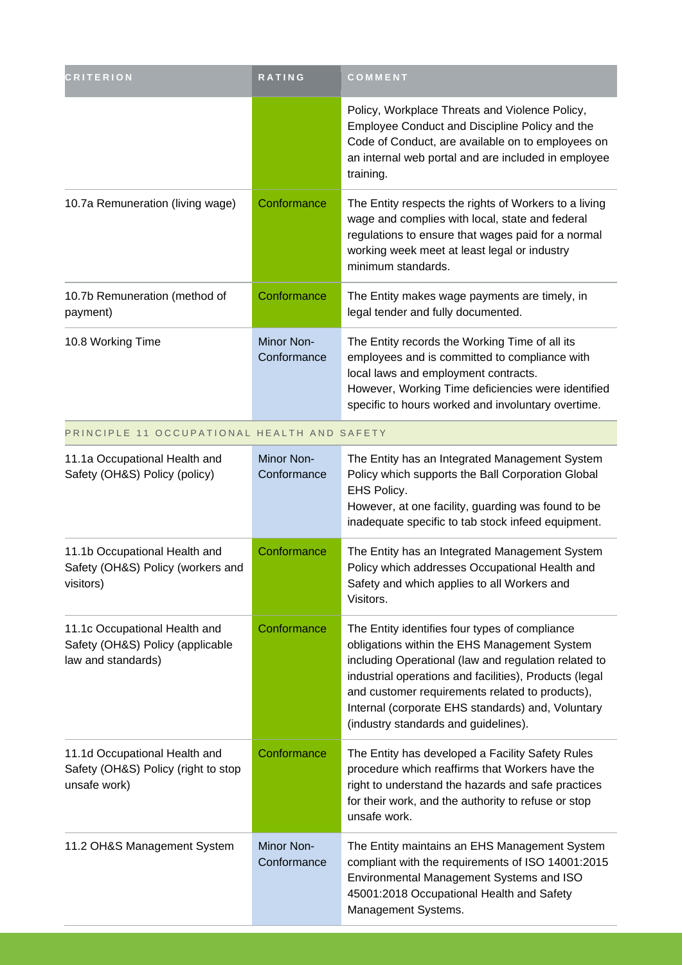| <b>CRITERION</b>                                                                        | <b>RATING</b>             | COMMENT                                                                                                                                                                                                                                                                                                                                                          |
|-----------------------------------------------------------------------------------------|---------------------------|------------------------------------------------------------------------------------------------------------------------------------------------------------------------------------------------------------------------------------------------------------------------------------------------------------------------------------------------------------------|
|                                                                                         |                           | Policy, Workplace Threats and Violence Policy,<br>Employee Conduct and Discipline Policy and the<br>Code of Conduct, are available on to employees on<br>an internal web portal and are included in employee<br>training.                                                                                                                                        |
| 10.7a Remuneration (living wage)                                                        | Conformance               | The Entity respects the rights of Workers to a living<br>wage and complies with local, state and federal<br>regulations to ensure that wages paid for a normal<br>working week meet at least legal or industry<br>minimum standards.                                                                                                                             |
| 10.7b Remuneration (method of<br>payment)                                               | Conformance               | The Entity makes wage payments are timely, in<br>legal tender and fully documented.                                                                                                                                                                                                                                                                              |
| 10.8 Working Time                                                                       | Minor Non-<br>Conformance | The Entity records the Working Time of all its<br>employees and is committed to compliance with<br>local laws and employment contracts.<br>However, Working Time deficiencies were identified<br>specific to hours worked and involuntary overtime.                                                                                                              |
| PRINCIPLE 11 OCCUPATIONAL HEALTH AND SAFETY                                             |                           |                                                                                                                                                                                                                                                                                                                                                                  |
| 11.1a Occupational Health and<br>Safety (OH&S) Policy (policy)                          | Minor Non-<br>Conformance | The Entity has an Integrated Management System<br>Policy which supports the Ball Corporation Global<br>EHS Policy.<br>However, at one facility, guarding was found to be<br>inadequate specific to tab stock infeed equipment.                                                                                                                                   |
| 11.1b Occupational Health and<br>Safety (OH&S) Policy (workers and<br>visitors)         | Conformance               | The Entity has an Integrated Management System<br>Policy which addresses Occupational Health and<br>Safety and which applies to all Workers and<br>Visitors.                                                                                                                                                                                                     |
| 11.1c Occupational Health and<br>Safety (OH&S) Policy (applicable<br>law and standards) | Conformance               | The Entity identifies four types of compliance<br>obligations within the EHS Management System<br>including Operational (law and regulation related to<br>industrial operations and facilities), Products (legal<br>and customer requirements related to products),<br>Internal (corporate EHS standards) and, Voluntary<br>(industry standards and guidelines). |
| 11.1d Occupational Health and<br>Safety (OH&S) Policy (right to stop<br>unsafe work)    | Conformance               | The Entity has developed a Facility Safety Rules<br>procedure which reaffirms that Workers have the<br>right to understand the hazards and safe practices<br>for their work, and the authority to refuse or stop<br>unsafe work.                                                                                                                                 |
| 11.2 OH&S Management System                                                             | Minor Non-<br>Conformance | The Entity maintains an EHS Management System<br>compliant with the requirements of ISO 14001:2015<br>Environmental Management Systems and ISO<br>45001:2018 Occupational Health and Safety<br>Management Systems.                                                                                                                                               |